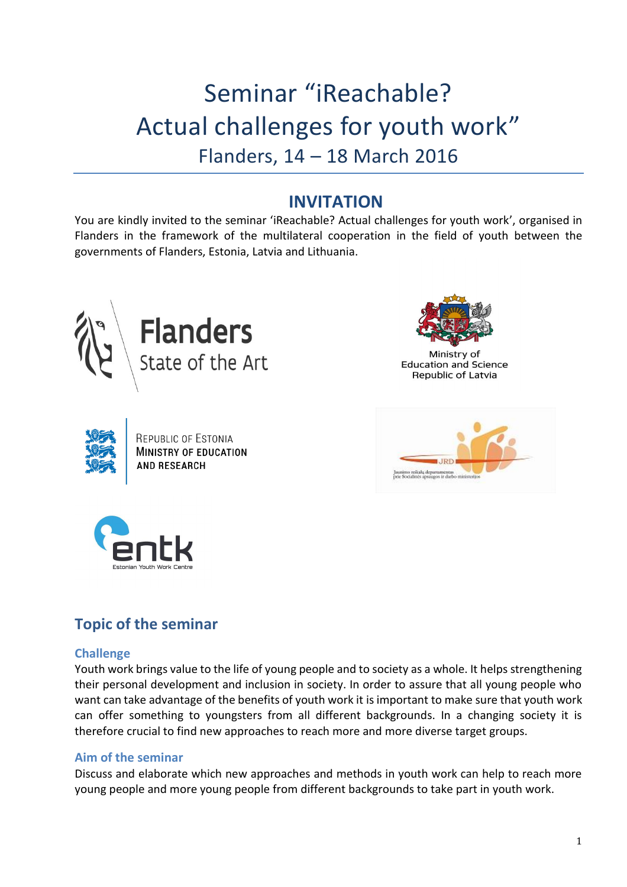# Seminar "iReachable? Actual challenges for youth work" Flanders, 14 – 18 March 2016

# **INVITATION**

You are kindly invited to the seminar 'iReachable? Actual challenges for youth work', organised in Flanders in the framework of the multilateral cooperation in the field of youth between the governments of Flanders, Estonia, Latvia and Lithuania.





Ministry of **Education and Science** Republic of Latvia



REPUBLIC OF ESTONIA **MINISTRY OF EDUCATION AND RESEARCH** 





## **Topic of the seminar**

## **Challenge**

Youth work brings value to the life of young people and to society as a whole. It helps strengthening their personal development and inclusion in society. In order to assure that all young people who want can take advantage of the benefits of youth work it is important to make sure that youth work can offer something to youngsters from all different backgrounds. In a changing society it is therefore crucial to find new approaches to reach more and more diverse target groups.

#### **Aim of the seminar**

Discuss and elaborate which new approaches and methods in youth work can help to reach more young people and more young people from different backgrounds to take part in youth work.